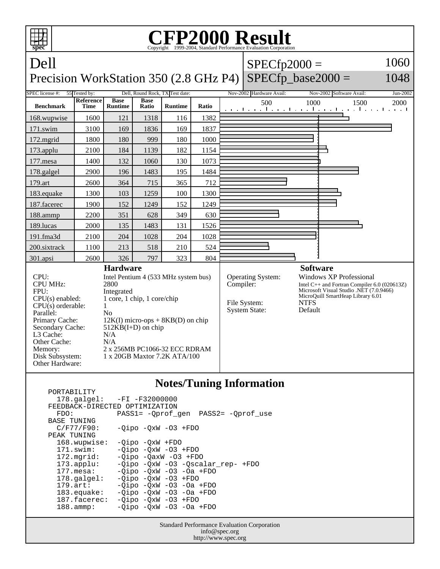

## **Notes/Tuning Information**

 PORTABILITY 178.galgel: -FI -F32000000 FEEDBACK-DIRECTED OPTIMIZATION<br>FDO: PASS1= -Oprof FDO: PASS1= -Qprof\_gen PASS2= -Qprof\_use BASE TUNING  $C/F77/F90: -Qipo -QxW -O3 + FDO$ PEAK TUNING<br>168.wupwise: 168.wupwise: -Qipo -QxW +FDO<br>171.swim: -Oipo -OxW -O3 -Qipo -QxW -O3 +FDO 172.mgrid: -Qipo -QaxW -O3 +FDO 173.applu: -Qipo -QxW -O3 -Qscalar\_rep- +FDO 177.mesa: -Qipo -QxW -O3 -Oa +FDO<br>178.galgel: -Qipo -QxW -O3 +FDO 178.galgel: - Qipo - QxW - 03 + FDO<br>179.art: - Oipo - OxW - 03 - Oa 179.art: - Qipo - QxW - 03 - 0a + FDO<br>183.equake: - Qipo - QxW - 03 - 0a + FDO  $-Qipo -QxW -O3 -Oa +FDO$  187.facerec: -Qipo -QxW -O3 +FDO 188.ammp: -Qipo -QxW -O3 -Oa +FDO

> Standard Performance Evaluation Corporation info@spec.org http://www.spec.org